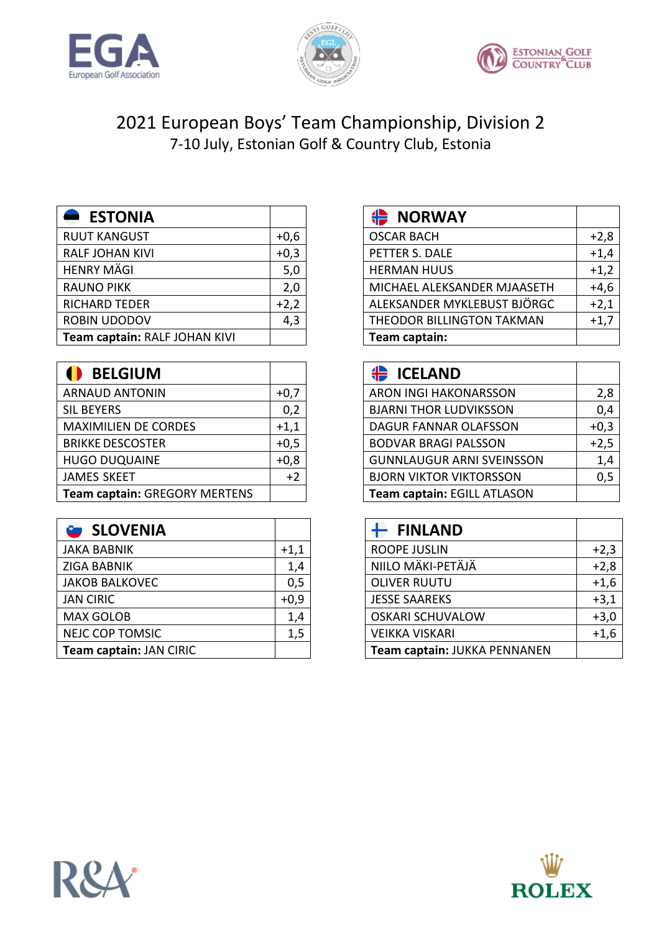





## 2021 European Boys' Team Championship, Division 2 7-10 July, Estonian Golf & Country Club, Estonia

| <b>ESTONIA</b>                |        | <b>← NORWAY</b>        |
|-------------------------------|--------|------------------------|
| <b>RUUT KANGUST</b>           | $+0,6$ | <b>OSCAR BACH</b>      |
| <b>RALF JOHAN KIVI</b>        | $+0,3$ | PETTER S. DALE         |
| <b>HENRY MÄGI</b>             | 5,0    | <b>HERMAN HUUS</b>     |
| <b>RAUNO PIKK</b>             | 2,0    | MICHAEL ALEKSAN        |
| <b>RICHARD TEDER</b>          | $+2,2$ | <b>ALEKSANDER MYK</b>  |
| ROBIN UDODOV                  | 4,3    | <b>THEODOR BILLING</b> |
| Team captain: RALF JOHAN KIVI |        | Team captain:          |

| <b>BELGIUM</b>                |        | <b>ICELAND</b>                  |
|-------------------------------|--------|---------------------------------|
| <b>ARNAUD ANTONIN</b>         | $+0,7$ | ARON INGI HAKONARSSON           |
| <b>SIL BEYERS</b>             | 0,2    | <b>BJARNI THOR LUDVIKSSON</b>   |
| <b>MAXIMILIEN DE CORDES</b>   | $+1,1$ | DAGUR FANNAR OLAFSSON           |
| <b>BRIKKE DESCOSTER</b>       | $+0,5$ | <b>BODVAR BRAGI PALSSON</b>     |
| <b>HUGO DUQUAINE</b>          | $+0,8$ | <b>GUNNLAUGUR ARNI SVEINSSO</b> |
| <b>JAMES SKEET</b>            | $+2$   | <b>BJORN VIKTOR VIKTORSSON</b>  |
| Team captain: GREGORY MERTENS |        | Team captain: EGILL ATLASON     |

|        | <b>FINLAND</b>               |
|--------|------------------------------|
| $+1,1$ | <b>ROOPE JUSLIN</b>          |
| 1,4    | NIILO MÄKI-PETÄJÄ            |
| 0,5    | <b>OLIVER RUUTU</b>          |
| $+0,9$ | <b>JESSE SAAREKS</b>         |
| 1,4    | <b>OSKARI SCHUVALOW</b>      |
| 1,5    | <b>VEIKKA VISKARI</b>        |
|        | Team captain: JUKKA PENNANEN |
|        |                              |

| <b>ESTONIA</b>                |        | ₩<br><b>NORWAY</b>          |        |
|-------------------------------|--------|-----------------------------|--------|
| <b>RUUT KANGUST</b>           | $+0,6$ | <b>OSCAR BACH</b>           | $+2,8$ |
| RALF JOHAN KIVI               | $+0,3$ | PETTER S. DALE              | $+1,4$ |
| HENRY MÄGI                    | 5,0    | <b>HERMAN HUUS</b>          | $+1,2$ |
| RAUNO PIKK                    | 2,0    | MICHAEL ALEKSANDER MJAASETH | $+4,6$ |
| RICHARD TEDER                 | $+2,2$ | ALEKSANDER MYKLEBUST BJÖRGC | $+2,1$ |
| ROBIN UDODOV                  | 4,3    | THEODOR BILLINGTON TAKMAN   | $+1,7$ |
| Team captain: RALF JOHAN KIVI |        | Team captain:               |        |

| $\bullet$<br><b>BELGIUM</b>   |        | ₩<br><b>ICELAND</b>              |        |
|-------------------------------|--------|----------------------------------|--------|
| ARNAUD ANTONIN                | $+0,7$ | ARON INGI HAKONARSSON            | 2,8    |
| SIL BEYERS                    | 0,2    | <b>BJARNI THOR LUDVIKSSON</b>    | 0,4    |
| <b>MAXIMILIEN DE CORDES</b>   | $+1,1$ | <b>DAGUR FANNAR OLAFSSON</b>     | $+0,3$ |
| <b>BRIKKE DESCOSTER</b>       | $+0,5$ | <b>BODVAR BRAGI PALSSON</b>      | $+2,5$ |
| <b>HUGO DUQUAINE</b>          | $+0,8$ | <b>GUNNLAUGUR ARNI SVEINSSON</b> | 1,4    |
| JAMES SKEET                   | $+2$   | <b>BJORN VIKTOR VIKTORSSON</b>   | 0,5    |
| Team captain: GREGORY MERTENS |        | Team captain: EGILL ATLASON      |        |

| SLOVENIA                |        | <b>FINLAND</b>               |        |
|-------------------------|--------|------------------------------|--------|
| JAKA BABNIK             | $+1,1$ | <b>ROOPE JUSLIN</b>          | $+2,3$ |
| ZIGA BABNIK             | 1,4    | NIILO MÄKI-PETÄJÄ            | $+2,8$ |
| <b>JAKOB BALKOVEC</b>   | 0,5    | <b>OLIVER RUUTU</b>          | $+1,6$ |
| <b>JAN CIRIC</b>        | $+0,9$ | <b>JESSE SAAREKS</b>         | $+3,1$ |
| <b>MAX GOLOB</b>        | 1,4    | <b>OSKARI SCHUVALOW</b>      | $+3,0$ |
| <b>NEJC COP TOMSIC</b>  | 1,5    | <b>VEIKKA VISKARI</b>        | $+1,6$ |
| Team captain: JAN CIRIC |        | Team captain: JUKKA PENNANEN |        |